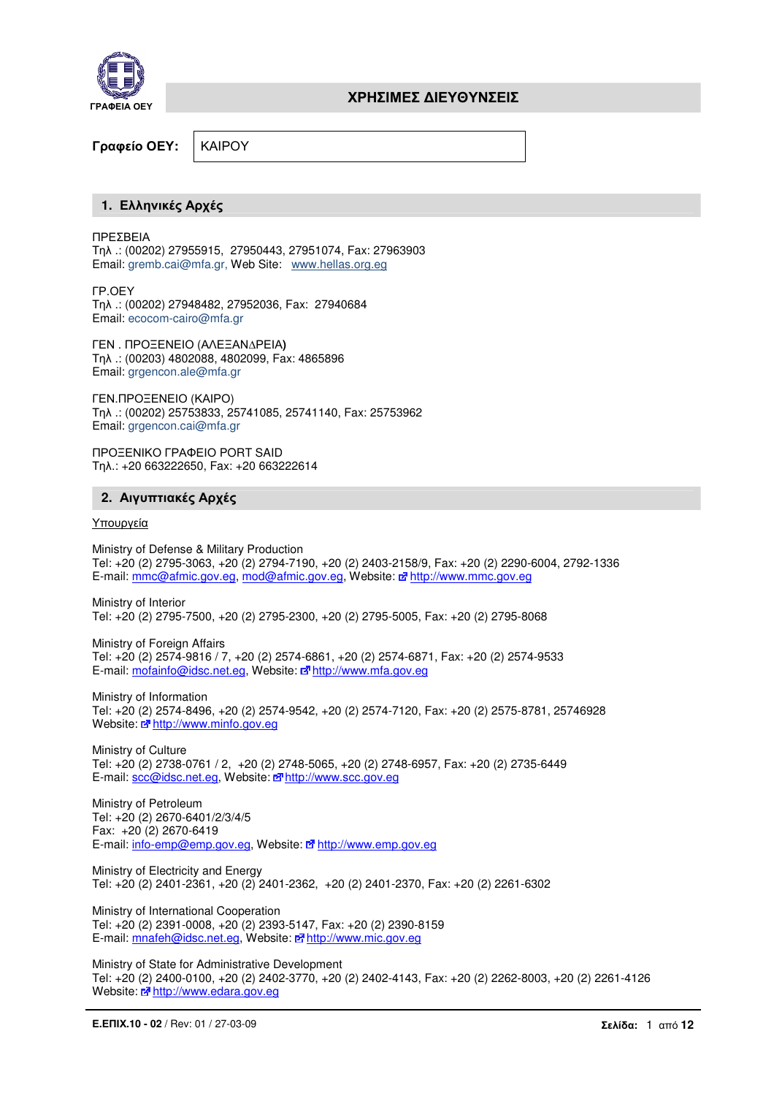

Γραφείο ΟΕΥ**:** ΚΑΙΡΟΥ

## **1.** Ελληνικές Αρχές

ΠΡΕΣΒΕΙΑ Τηλ .: (00202) 27955915, 27950443, 27951074, Fax: 27963903 Email: gremb.cai@mfa.gr, Web Site: www.hellas.org.eg

ΓΡ.ΟΕΥ Τηλ .: (00202) 27948482, 27952036, Fax: 27940684 Email: ecocom-cairo@mfa.gr

ΓΕΝ . ΠΡΟΞΕΝΕΙΟ (ΑΛΕΞΑΝ∆ΡΕΙΑ**)** Τηλ .: (00203) 4802088, 4802099, Fax: 4865896 Email: grgencon.ale@mfa.gr

ΓΕΝ.ΠΡΟΞΕΝΕΙΟ (ΚΑΙΡΟ) Τηλ .: (00202) 25753833, 25741085, 25741140, Fax: 25753962 Email: grgencon.cai@mfa.gr

ΠΡΟΞΕΝΙΚΟ ΓΡΑΦΕΙΟ PORT SAID Τηλ.: +20 663222650, Fax: +20 663222614

# **2.** Αιγυπτιακές Αρχές

## Υπουργεία

Ministry of Defense & Military Production Tel: +20 (2) 2795-3063, +20 (2) 2794-7190, +20 (2) 2403-2158/9, Fax: +20 (2) 2290-6004, 2792-1336 E-mail: mmc@afmic.gov.eg, mod@afmic.gov.eg, Website: E http://www.mmc.gov.eg

Ministry of Interior Tel: +20 (2) 2795-7500, +20 (2) 2795-2300, +20 (2) 2795-5005, Fax: +20 (2) 2795-8068

Ministry of Foreign Affairs Tel: +20 (2) 2574-9816 / 7, +20 (2) 2574-6861, +20 (2) 2574-6871, Fax: +20 (2) 2574-9533 E-mail: mofainfo@idsc.net.eg, Website: nathtp://www.mfa.gov.eg

Ministry of Information Tel: +20 (2) 2574-8496, +20 (2) 2574-9542, +20 (2) 2574-7120, Fax: +20 (2) 2575-8781, 25746928 Website:  $\vec{a}$  http://www.minfo.gov.eg

Ministry of Culture Tel: +20 (2) 2738-0761 / 2, +20 (2) 2748-5065, +20 (2) 2748-6957, Fax: +20 (2) 2735-6449 E-mail: scc@idsc.net.eg, Website: e7http://www.scc.gov.eg

Ministry of Petroleum Tel: +20 (2) 2670-6401/2/3/4/5 Fax: +20 (2) 2670-6419 E-mail: info-emp@emp.gov.eg, Website: n<sup>a</sup>http://www.emp.gov.eg

Ministry of Electricity and Energy Tel: +20 (2) 2401-2361, +20 (2) 2401-2362, +20 (2) 2401-2370, Fax: +20 (2) 2261-6302

Ministry of International Cooperation Tel: +20 (2) 2391-0008, +20 (2) 2393-5147, Fax: +20 (2) 2390-8159 E-mail: mnafeh@idsc.net.eg, Website: http://www.mic.gov.eg

Ministry of State for Administrative Development Tel: +20 (2) 2400-0100, +20 (2) 2402-3770, +20 (2) 2402-4143, Fax: +20 (2) 2262-8003, +20 (2) 2261-4126 Website:  $\frac{m}{2}$  http://www.edara.gov.eg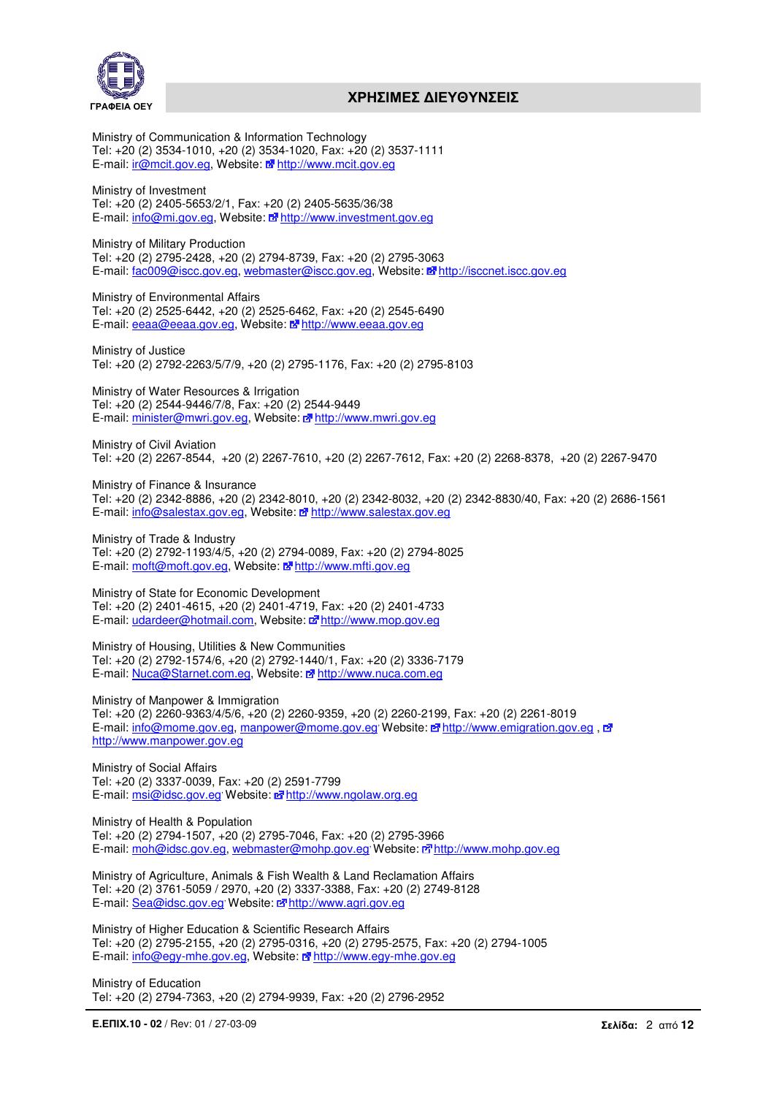



Ministry of Communication & Information Technology Tel: +20 (2) 3534-1010, +20 (2) 3534-1020, Fax: +20 (2) 3537-1111 E-mail: ir@mcit.gov.eg, Website: Note http://www.mcit.gov.eg

Ministry of Investment Tel: +20 (2) 2405-5653/2/1, Fax: +20 (2) 2405-5635/36/38 E-mail: info@mi.gov.eg, Website: Notify://www.investment.gov.eg

Ministry of Military Production Tel: +20 (2) 2795-2428, +20 (2) 2794-8739, Fax: +20 (2) 2795-3063 E-mail: fac009@iscc.gov.eg, webmaster@iscc.gov.eg, Website: http://isccnet.iscc.gov.eg

Ministry of Environmental Affairs Tel: +20 (2) 2525-6442, +20 (2) 2525-6462, Fax: +20 (2) 2545-6490 E-mail: eeaa@eeaa.gov.eg, Website: **http://www.eeaa.gov.eg** 

Ministry of Justice Tel: +20 (2) 2792-2263/5/7/9, +20 (2) 2795-1176, Fax: +20 (2) 2795-8103

Ministry of Water Resources & Irrigation Tel: +20 (2) 2544-9446/7/8, Fax: +20 (2) 2544-9449 E-mail: minister@mwri.gov.eg, Website: nattp://www.mwri.gov.eg

Ministry of Civil Aviation Tel: +20 (2) 2267-8544, +20 (2) 2267-7610, +20 (2) 2267-7612, Fax: +20 (2) 2268-8378, +20 (2) 2267-9470

Ministry of Finance & Insurance Tel: +20 (2) 2342-8886, +20 (2) 2342-8010, +20 (2) 2342-8032, +20 (2) 2342-8830/40, Fax: +20 (2) 2686-1561 E-mail: info@salestax.gov.eg, Website: E<sup>n</sup> http://www.salestax.gov.eg

Ministry of Trade & Industry Tel: +20 (2) 2792-1193/4/5, +20 (2) 2794-0089, Fax: +20 (2) 2794-8025 E-mail: moft@moft.gov.eg, Website: Metathtp://www.mfti.gov.eg

Ministry of State for Economic Development Tel: +20 (2) 2401-4615, +20 (2) 2401-4719, Fax: +20 (2) 2401-4733 E-mail: udardeer@hotmail.com, Website: nature http://www.mop.gov.eg

Ministry of Housing, Utilities & New Communities Tel: +20 (2) 2792-1574/6, +20 (2) 2792-1440/1, Fax: +20 (2) 3336-7179 E-mail: Nuca@Starnet.com.eg, Website: E http://www.nuca.com.eg

Ministry of Manpower & Immigration Tel: +20 (2) 2260-9363/4/5/6, +20 (2) 2260-9359, +20 (2) 2260-2199, Fax: +20 (2) 2261-8019 E-mail: info@mome.gov.eg, manpower@mome.gov.eg Website: E<sup>n</sup>http://www.emigration.gov.eg, E<sup>n</sup> http://www.manpower.gov.eg

Ministry of Social Affairs Tel: +20 (2) 3337-0039, Fax: +20 (2) 2591-7799 E-mail: msi@idsc.gov.eg Website: Mottp://www.ngolaw.org.eg

Ministry of Health & Population Tel: +20 (2) 2794-1507, +20 (2) 2795-7046, Fax: +20 (2) 2795-3966 E-mail: moh@idsc.gov.eg, webmaster@mohp.gov.eg, Website: http://www.mohp.gov.eg

Ministry of Agriculture, Animals & Fish Wealth & Land Reclamation Affairs Tel: +20 (2) 3761-5059 / 2970, +20 (2) 3337-3388, Fax: +20 (2) 2749-8128 E-mail: Sea@idsc.gov.eg Website: e<sup>n</sup> http://www.agri.gov.eg

Ministry of Higher Education & Scientific Research Affairs Tel: +20 (2) 2795-2155, +20 (2) 2795-0316, +20 (2) 2795-2575, Fax: +20 (2) 2794-1005 E-mail: info@egy-mhe.gov.eg, Website: E http://www.egy-mhe.gov.eg

Ministry of Education Tel: +20 (2) 2794-7363, +20 (2) 2794-9939, Fax: +20 (2) 2796-2952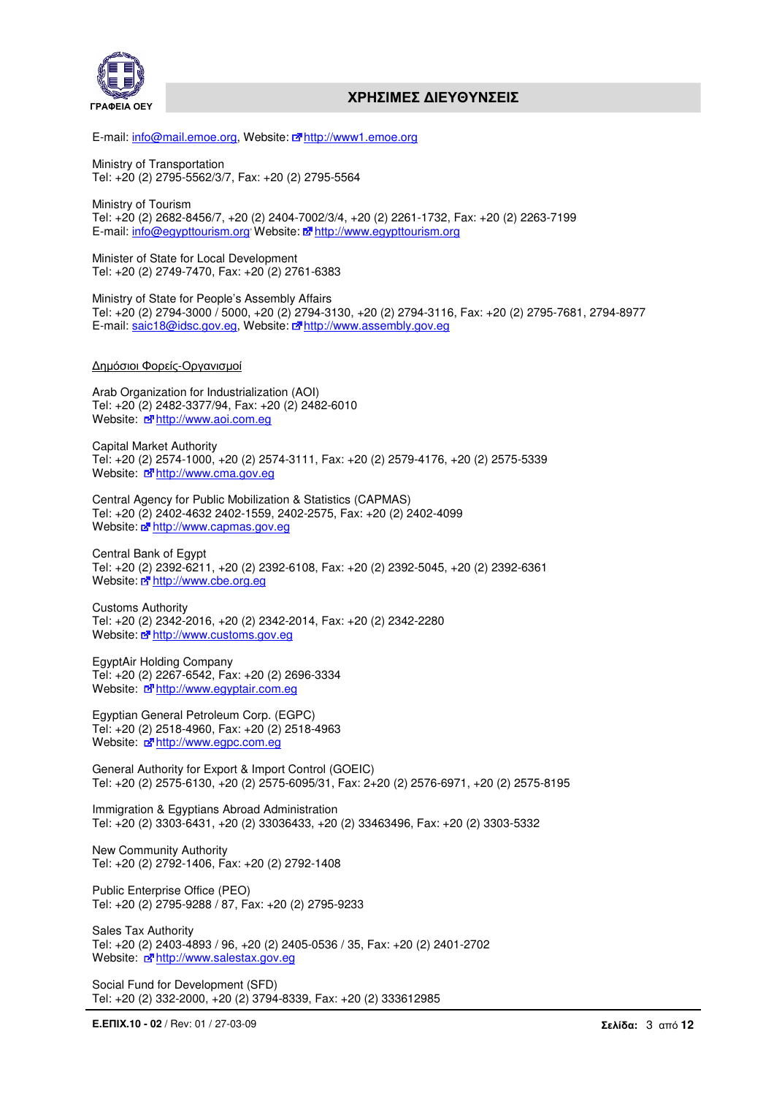



E-mail: info@mail.emoe.org, Website: E<sup>n</sup>http://www1.emoe.org

Ministry of Transportation Tel: +20 (2) 2795-5562/3/7, Fax: +20 (2) 2795-5564

Ministry of Tourism Tel: +20 (2) 2682-8456/7, +20 (2) 2404-7002/3/4, +20 (2) 2261-1732, Fax: +20 (2) 2263-7199 E-mail: info@egypttourism.org Website: E<sup>n</sup> http://www.egypttourism.org

Minister of State for Local Development Tel: +20 (2) 2749-7470, Fax: +20 (2) 2761-6383

Ministry of State for People's Assembly Affairs Tel: +20 (2) 2794-3000 / 5000, +20 (2) 2794-3130, +20 (2) 2794-3116, Fax: +20 (2) 2795-7681, 2794-8977 E-mail: saic18@idsc.gov.eg, Website: E<sup>n</sup>http://www.assembly.gov.eg

#### ∆ηµόσιοι Φορείς-Οργανισµοί

Arab Organization for Industrialization (AOI) Tel: +20 (2) 2482-3377/94, Fax: +20 (2) 2482-6010 Website: 7 http://www.aoi.com.eg

Capital Market Authority Tel: +20 (2) 2574-1000, +20 (2) 2574-3111, Fax: +20 (2) 2579-4176, +20 (2) 2575-5339 Website: nature http://www.cma.gov.eg

Central Agency for Public Mobilization & Statistics (CAPMAS) Tel: +20 (2) 2402-4632 2402-1559, 2402-2575, Fax: +20 (2) 2402-4099 Website:  $\vec{F}$  http://www.capmas.gov.eg

Central Bank of Egypt Tel: +20 (2) 2392-6211, +20 (2) 2392-6108, Fax: +20 (2) 2392-5045, +20 (2) 2392-6361 Website: Mattp://www.cbe.org.eg

Customs Authority Tel: +20 (2) 2342-2016, +20 (2) 2342-2014, Fax: +20 (2) 2342-2280 Website: a<sup>n</sup> http://www.customs.gov.eg

EgyptAir Holding Company Tel: +20 (2) 2267-6542, Fax: +20 (2) 2696-3334 Website: Mother Music Mediate: Mother Music Mediate: 0.1799

Egyptian General Petroleum Corp. (EGPC) Tel: +20 (2) 2518-4960, Fax: +20 (2) 2518-4963 Website:  $\vec{a}$  http://www.egpc.com.eg

General Authority for Export & Import Control (GOEIC) Tel: +20 (2) 2575-6130, +20 (2) 2575-6095/31, Fax: 2+20 (2) 2576-6971, +20 (2) 2575-8195

Immigration & Egyptians Abroad Administration Tel: +20 (2) 3303-6431, +20 (2) 33036433, +20 (2) 33463496, Fax: +20 (2) 3303-5332

New Community Authority Tel: +20 (2) 2792-1406, Fax: +20 (2) 2792-1408

Public Enterprise Office (PEO) Tel: +20 (2) 2795-9288 / 87, Fax: +20 (2) 2795-9233

Sales Tax Authority Tel: +20 (2) 2403-4893 / 96, +20 (2) 2405-0536 / 35, Fax: +20 (2) 2401-2702 Website: Mother Mussim Mediation Control and Website: Motor Mussim Control and Mussim Control and Mussim Control and Mussim Control and Mussim Control and Mussim Control and Mussim Control and Mussim Control and Mussim Con

Social Fund for Development (SFD) Tel: +20 (2) 332-2000, +20 (2) 3794-8339, Fax: +20 (2) 333612985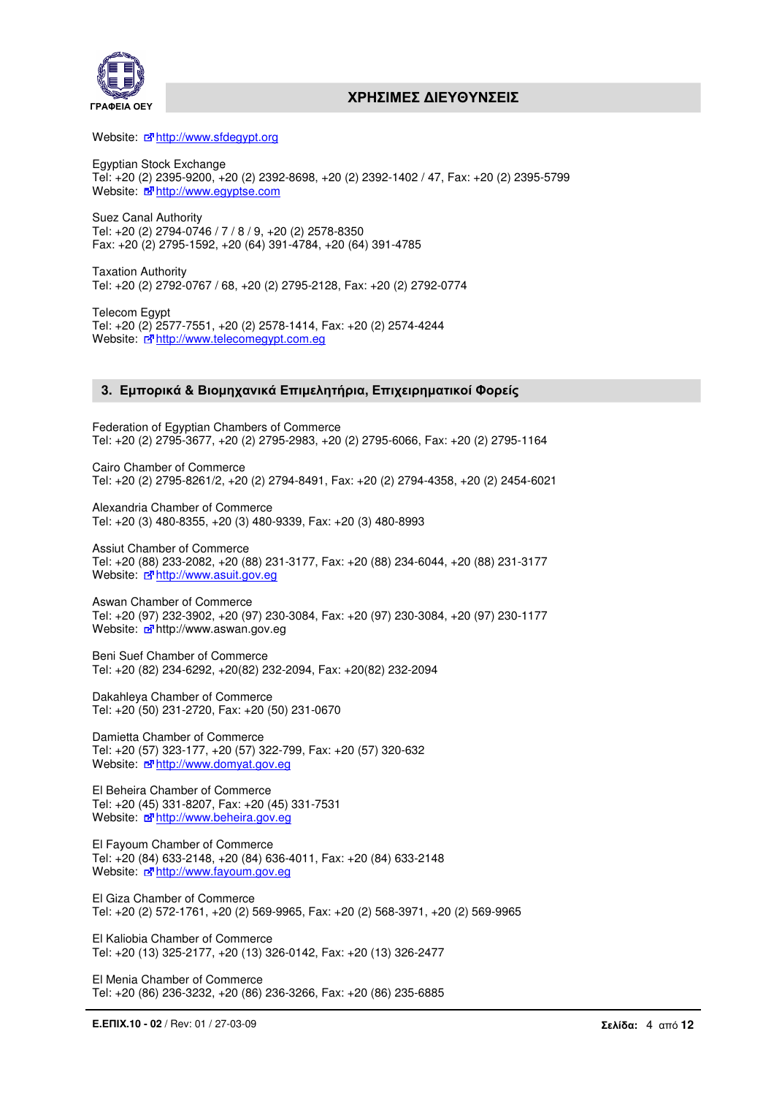

Website: Mahttp://www.sfdegypt.org

Egyptian Stock Exchange Tel: +20 (2) 2395-9200, +20 (2) 2392-8698, +20 (2) 2392-1402 / 47, Fax: +20 (2) 2395-5799 Website: E<sup>n</sup>http://www.egyptse.com

Suez Canal Authority Tel: +20 (2) 2794-0746 / 7 / 8 / 9, +20 (2) 2578-8350 Fax: +20 (2) 2795-1592, +20 (64) 391-4784, +20 (64) 391-4785

Taxation Authority Tel: +20 (2) 2792-0767 / 68, +20 (2) 2795-2128, Fax: +20 (2) 2792-0774

Telecom Egypt Tel: +20 (2) 2577-7551, +20 (2) 2578-1414, Fax: +20 (2) 2574-4244 Website:  $\vec{F}$  http://www.telecomegypt.com.eg

## **3.** Εµπορικά **&** Βιοµηχανικά Επιµελητήρια**,** Επιχειρηµατικοί Φορείς

Federation of Egyptian Chambers of Commerce Tel: +20 (2) 2795-3677, +20 (2) 2795-2983, +20 (2) 2795-6066, Fax: +20 (2) 2795-1164

Cairo Chamber of Commerce Tel: +20 (2) 2795-8261/2, +20 (2) 2794-8491, Fax: +20 (2) 2794-4358, +20 (2) 2454-6021

Alexandria Chamber of Commerce Tel: +20 (3) 480-8355, +20 (3) 480-9339, Fax: +20 (3) 480-8993

Assiut Chamber of Commerce Tel: +20 (88) 233-2082, +20 (88) 231-3177, Fax: +20 (88) 234-6044, +20 (88) 231-3177 Website: d<sup>a</sup>http://www.asuit.gov.eg

Aswan Chamber of Commerce Tel: +20 (97) 232-3902, +20 (97) 230-3084, Fax: +20 (97) 230-3084, +20 (97) 230-1177 Website: 3 http://www.aswan.gov.eg

Beni Suef Chamber of Commerce Tel: +20 (82) 234-6292, +20(82) 232-2094, Fax: +20(82) 232-2094

Dakahleya Chamber of Commerce Tel: +20 (50) 231-2720, Fax: +20 (50) 231-0670

Damietta Chamber of Commerce Tel: +20 (57) 323-177, +20 (57) 322-799, Fax: +20 (57) 320-632 Website: c<sup>a</sup> http://www.domyat.gov.eg

El Beheira Chamber of Commerce Tel: +20 (45) 331-8207, Fax: +20 (45) 331-7531 Website: Mahttp://www.beheira.gov.eg

El Fayoum Chamber of Commerce Tel: +20 (84) 633-2148, +20 (84) 636-4011, Fax: +20 (84) 633-2148 Website:  $\vec{r}$  http://www.fayoum.gov.eg

El Giza Chamber of Commerce Tel: +20 (2) 572-1761, +20 (2) 569-9965, Fax: +20 (2) 568-3971, +20 (2) 569-9965

El Kaliobia Chamber of Commerce Tel: +20 (13) 325-2177, +20 (13) 326-0142, Fax: +20 (13) 326-2477

El Menia Chamber of Commerce Tel: +20 (86) 236-3232, +20 (86) 236-3266, Fax: +20 (86) 235-6885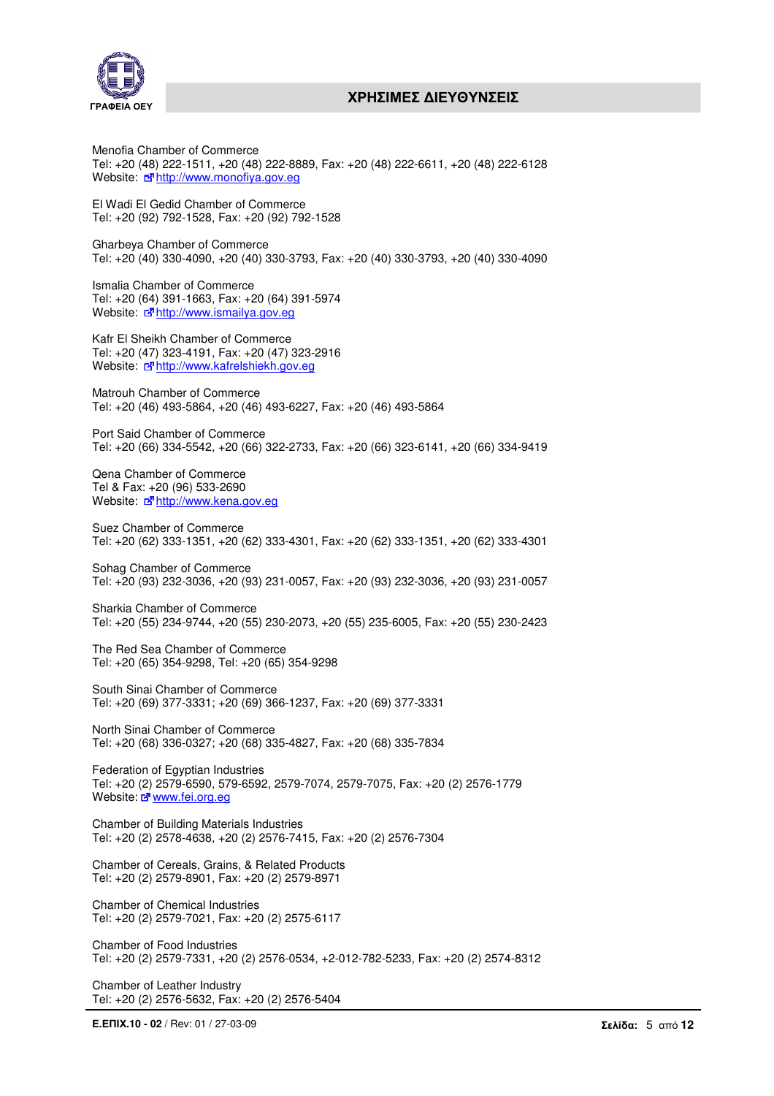

Menofia Chamber of Commerce Tel: +20 (48) 222-1511, +20 (48) 222-8889, Fax: +20 (48) 222-6611, +20 (48) 222-6128 Website:  $\vec{r}$  http://www.monofiya.gov.eg

El Wadi El Gedid Chamber of Commerce Tel: +20 (92) 792-1528, Fax: +20 (92) 792-1528

Gharbeya Chamber of Commerce Tel: +20 (40) 330-4090, +20 (40) 330-3793, Fax: +20 (40) 330-3793, +20 (40) 330-4090

Ismalia Chamber of Commerce Tel: +20 (64) 391-1663, Fax: +20 (64) 391-5974 Website:  $\vec{F}$  http://www.ismailya.gov.eg

Kafr El Sheikh Chamber of Commerce Tel: +20 (47) 323-4191, Fax: +20 (47) 323-2916 Website: n<sup>a</sup> http://www.kafrelshiekh.gov.eg

Matrouh Chamber of Commerce Tel: +20 (46) 493-5864, +20 (46) 493-6227, Fax: +20 (46) 493-5864

Port Said Chamber of Commerce Tel: +20 (66) 334-5542, +20 (66) 322-2733, Fax: +20 (66) 323-6141, +20 (66) 334-9419

Qena Chamber of Commerce Tel & Fax: +20 (96) 533-2690 Website: Mahttp://www.kena.gov.eg

Suez Chamber of Commerce Tel: +20 (62) 333-1351, +20 (62) 333-4301, Fax: +20 (62) 333-1351, +20 (62) 333-4301

Sohag Chamber of Commerce Tel: +20 (93) 232-3036, +20 (93) 231-0057, Fax: +20 (93) 232-3036, +20 (93) 231-0057

Sharkia Chamber of Commerce Tel: +20 (55) 234-9744, +20 (55) 230-2073, +20 (55) 235-6005, Fax: +20 (55) 230-2423

The Red Sea Chamber of Commerce Tel: +20 (65) 354-9298, Tel: +20 (65) 354-9298

South Sinai Chamber of Commerce Tel: +20 (69) 377-3331; +20 (69) 366-1237, Fax: +20 (69) 377-3331

North Sinai Chamber of Commerce Tel: +20 (68) 336-0327; +20 (68) 335-4827, Fax: +20 (68) 335-7834

Federation of Egyptian Industries Tel: +20 (2) 2579-6590, 579-6592, 2579-7074, 2579-7075, Fax: +20 (2) 2576-1779 Website: E www.fei.org.eg

Chamber of Building Materials Industries Tel: +20 (2) 2578-4638, +20 (2) 2576-7415, Fax: +20 (2) 2576-7304

Chamber of Cereals, Grains, & Related Products Tel: +20 (2) 2579-8901, Fax: +20 (2) 2579-8971

Chamber of Chemical Industries Tel: +20 (2) 2579-7021, Fax: +20 (2) 2575-6117

Chamber of Food Industries Tel: +20 (2) 2579-7331, +20 (2) 2576-0534, +2-012-782-5233, Fax: +20 (2) 2574-8312

Chamber of Leather Industry Tel: +20 (2) 2576-5632, Fax: +20 (2) 2576-5404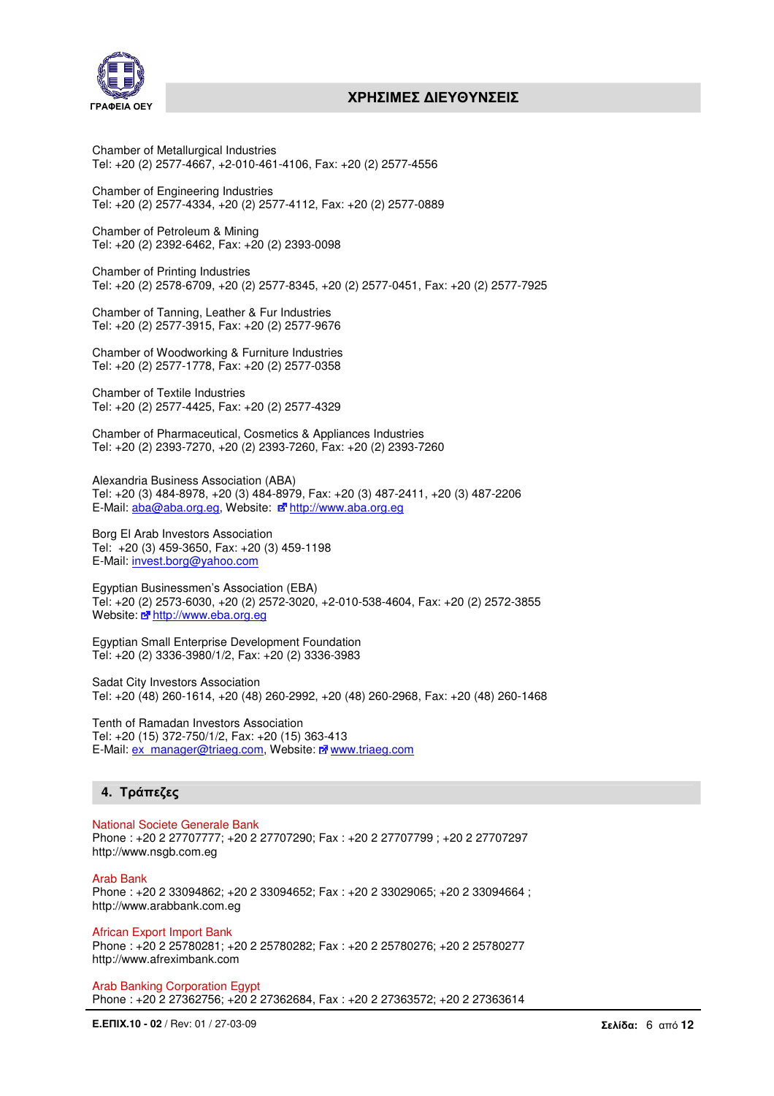

Chamber of Metallurgical Industries Tel: +20 (2) 2577-4667, +2-010-461-4106, Fax: +20 (2) 2577-4556

Chamber of Engineering Industries Tel: +20 (2) 2577-4334, +20 (2) 2577-4112, Fax: +20 (2) 2577-0889

Chamber of Petroleum & Mining Tel: +20 (2) 2392-6462, Fax: +20 (2) 2393-0098

Chamber of Printing Industries Tel: +20 (2) 2578-6709, +20 (2) 2577-8345, +20 (2) 2577-0451, Fax: +20 (2) 2577-7925

Chamber of Tanning, Leather & Fur Industries Tel: +20 (2) 2577-3915, Fax: +20 (2) 2577-9676

Chamber of Woodworking & Furniture Industries Tel: +20 (2) 2577-1778, Fax: +20 (2) 2577-0358

Chamber of Textile Industries Tel: +20 (2) 2577-4425, Fax: +20 (2) 2577-4329

Chamber of Pharmaceutical, Cosmetics & Appliances Industries Tel: +20 (2) 2393-7270, +20 (2) 2393-7260, Fax: +20 (2) 2393-7260

Alexandria Business Association (ABA) Tel: +20 (3) 484-8978, +20 (3) 484-8979, Fax: +20 (3) 487-2411, +20 (3) 487-2206 E-Mail: aba@aba.org.eg, Website: national www.aba.org.eg

Borg El Arab Investors Association Tel: +20 (3) 459-3650, Fax: +20 (3) 459-1198 E-Mail: invest.borg@yahoo.com

Egyptian Businessmen's Association (EBA) Tel: +20 (2) 2573-6030, +20 (2) 2572-3020, +2-010-538-4604, Fax: +20 (2) 2572-3855 Website: a<sup>n</sup> http://www.eba.org.eg

Egyptian Small Enterprise Development Foundation Tel: +20 (2) 3336-3980/1/2, Fax: +20 (2) 3336-3983

Sadat City Investors Association Tel: +20 (48) 260-1614, +20 (48) 260-2992, +20 (48) 260-2968, Fax: +20 (48) 260-1468

Tenth of Ramadan Investors Association Tel: +20 (15) 372-750/1/2, Fax: +20 (15) 363-413 E-Mail: ex\_manager@triaeg.com, Website: E<sup>n</sup> www.triaeg.com

# **4.** Τράπεζες

National Societe Generale Bank Phone : +20 2 27707777; +20 2 27707290; Fax : +20 2 27707799 ; +20 2 27707297 http://www.nsgb.com.eg

Arab Bank

Phone : +20 2 33094862; +20 2 33094652; Fax : +20 2 33029065; +20 2 33094664 ; http://www.arabbank.com.eg

African Export Import Bank Phone : +20 2 25780281; +20 2 25780282; Fax : +20 2 25780276; +20 2 25780277 http://www.afreximbank.com

Arab Banking Corporation Egypt Phone : +20 2 27362756; +20 2 27362684, Fax : +20 2 27363572; +20 2 27363614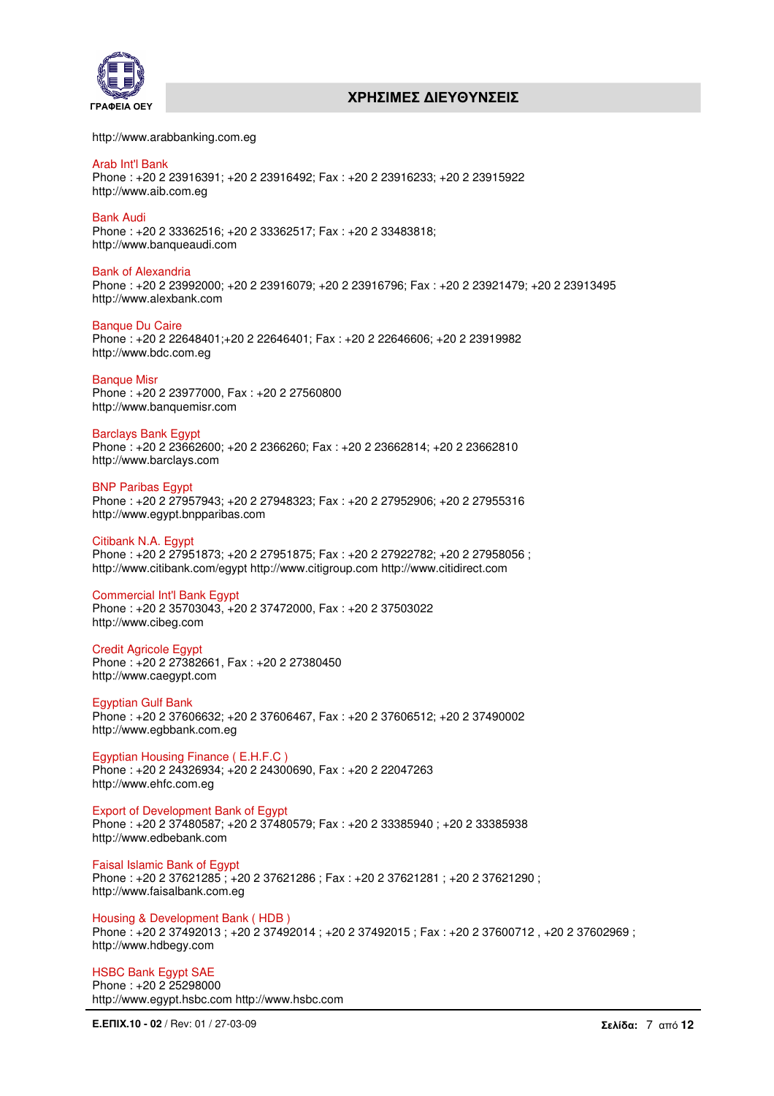



http://www.arabbanking.com.eg

#### Arab Int'l Bank Phone : +20 2 23916391; +20 2 23916492; Fax : +20 2 23916233; +20 2 23915922 http://www.aib.com.eg

Bank Audi Phone : +20 2 33362516; +20 2 33362517; Fax : +20 2 33483818; http://www.banqueaudi.com

Bank of Alexandria Phone : +20 2 23992000; +20 2 23916079; +20 2 23916796; Fax : +20 2 23921479; +20 2 23913495 http://www.alexbank.com

#### Banque Du Caire Phone : +20 2 22648401;+20 2 22646401; Fax : +20 2 22646606; +20 2 23919982 http://www.bdc.com.eg

**Banque Misr** Phone : +20 2 23977000, Fax : +20 2 27560800 http://www.banquemisr.com

## Barclays Bank Egypt

Phone : +20 2 23662600; +20 2 2366260; Fax : +20 2 23662814; +20 2 23662810 http://www.barclays.com

# **BNP Paribas Egypt**

Phone : +20 2 27957943; +20 2 27948323; Fax : +20 2 27952906; +20 2 27955316 http://www.egypt.bnpparibas.com

## Citibank N.A. Egypt

Phone : +20 2 27951873; +20 2 27951875; Fax : +20 2 27922782; +20 2 27958056 ; http://www.citibank.com/egypt http://www.citigroup.com http://www.citidirect.com

## Commercial Int'l Bank Egypt

Phone : +20 2 35703043, +20 2 37472000, Fax : +20 2 37503022 http://www.cibeg.com

# Credit Agricole Egypt

Phone : +20 2 27382661, Fax : +20 2 27380450 http://www.caegypt.com

## Egyptian Gulf Bank

Phone : +20 2 37606632; +20 2 37606467, Fax : +20 2 37606512; +20 2 37490002 http://www.egbbank.com.eg

Egyptian Housing Finance ( E.H.F.C )

Phone : +20 2 24326934; +20 2 24300690, Fax : +20 2 22047263 http://www.ehfc.com.eg

# Export of Development Bank of Egypt

Phone : +20 2 37480587; +20 2 37480579; Fax : +20 2 33385940 ; +20 2 33385938 http://www.edbebank.com

Faisal Islamic Bank of Egypt

Phone: +20 2 37621285; +20 2 37621286; Fax: +20 2 37621281; +20 2 37621290; http://www.faisalbank.com.eg

## Housing & Development Bank ( HDB )

Phone : +20 2 37492013 ; +20 2 37492014 ; +20 2 37492015 ; Fax : +20 2 37600712 , +20 2 37602969 ; http://www.hdbegy.com

#### HSBC Bank Egypt SAE Phone : +20 2 25298000

http://www.egypt.hsbc.com http://www.hsbc.com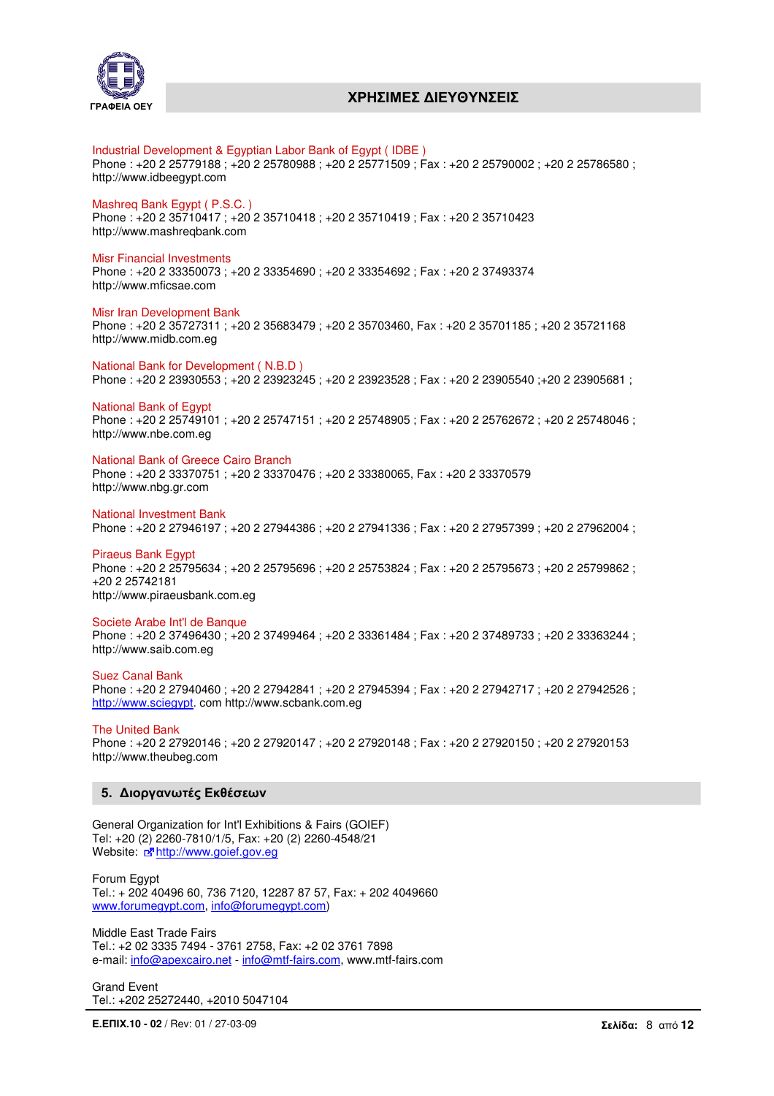

## Industrial Development & Egyptian Labor Bank of Egypt ( IDBE )

Phone : +20 2 25779188 ; +20 2 25780988 ; +20 2 25771509 ; Fax : +20 2 25790002 ; +20 2 25786580 ; http://www.idbeegypt.com

#### Mashreq Bank Egypt ( P.S.C. )

Phone : +20 2 35710417 ; +20 2 35710418 ; +20 2 35710419 ; Fax : +20 2 35710423 http://www.mashreqbank.com

#### Misr Financial Investments

Phone : +20 2 33350073 ; +20 2 33354690 ; +20 2 33354692 ; Fax : +20 2 37493374 http://www.mficsae.com

#### Misr Iran Development Bank

Phone : +20 2 35727311 ; +20 2 35683479 ; +20 2 35703460, Fax : +20 2 35701185 ; +20 2 35721168 http://www.midb.com.eg

National Bank for Development ( N.B.D ) Phone : +20 2 23930553 ; +20 2 23923245 ; +20 2 23923528 ; Fax : +20 2 23905540 ;+20 2 23905681 ;

National Bank of Egypt Phone : +20 2 25749101 ; +20 2 25747151 ; +20 2 25748905 ; Fax : +20 2 25762672 ; +20 2 25748046 ; http://www.nbe.com.eg

#### National Bank of Greece Cairo Branch

Phone : +20 2 33370751 ; +20 2 33370476 ; +20 2 33380065, Fax : +20 2 33370579 http://www.nbg.gr.com

National Investment Bank Phone : +20 2 27946197 ; +20 2 27944386 ; +20 2 27941336 ; Fax : +20 2 27957399 ; +20 2 27962004 ;

Piraeus Bank Egypt Phone : +20 2 25795634 ; +20 2 25795696 ; +20 2 25753824 ; Fax : +20 2 25795673 ; +20 2 25799862 ; +20 2 25742181 http://www.piraeusbank.com.eg

#### Societe Arabe Int'l de Banque

Phone : +20 2 37496430 ; +20 2 37499464 ; +20 2 33361484 ; Fax : +20 2 37489733 ; +20 2 33363244 ; http://www.saib.com.eg

## Suez Canal Bank

Phone: +20 2 27940460; +20 2 27942841; +20 2 27945394; Fax: +20 2 27942717; +20 2 27942526; http://www.sciegypt. com http://www.scbank.com.eg

The United Bank Phone : +20 2 27920146 ; +20 2 27920147 ; +20 2 27920148 ; Fax : +20 2 27920150 ; +20 2 27920153 http://www.theubeg.com

## **5.** ∆ιοργανωτές Εκθέσεων

General Organization for Int'l Exhibitions & Fairs (GOIEF) Tel: +20 (2) 2260-7810/1/5, Fax: +20 (2) 2260-4548/21 Website: rahttp://www.goief.gov.eg

Forum Egypt Tel.: + 202 40496 60, 736 7120, 12287 87 57, Fax: + 202 4049660 www.forumegypt.com, info@forumegypt.com)

Middle East Trade Fairs Tel.: +2 02 3335 7494 - 3761 2758, Fax: +2 02 3761 7898 e-mail: info@apexcairo.net - info@mtf-fairs.com, www.mtf-fairs.com

Grand Event Tel.: +202 25272440, +2010 5047104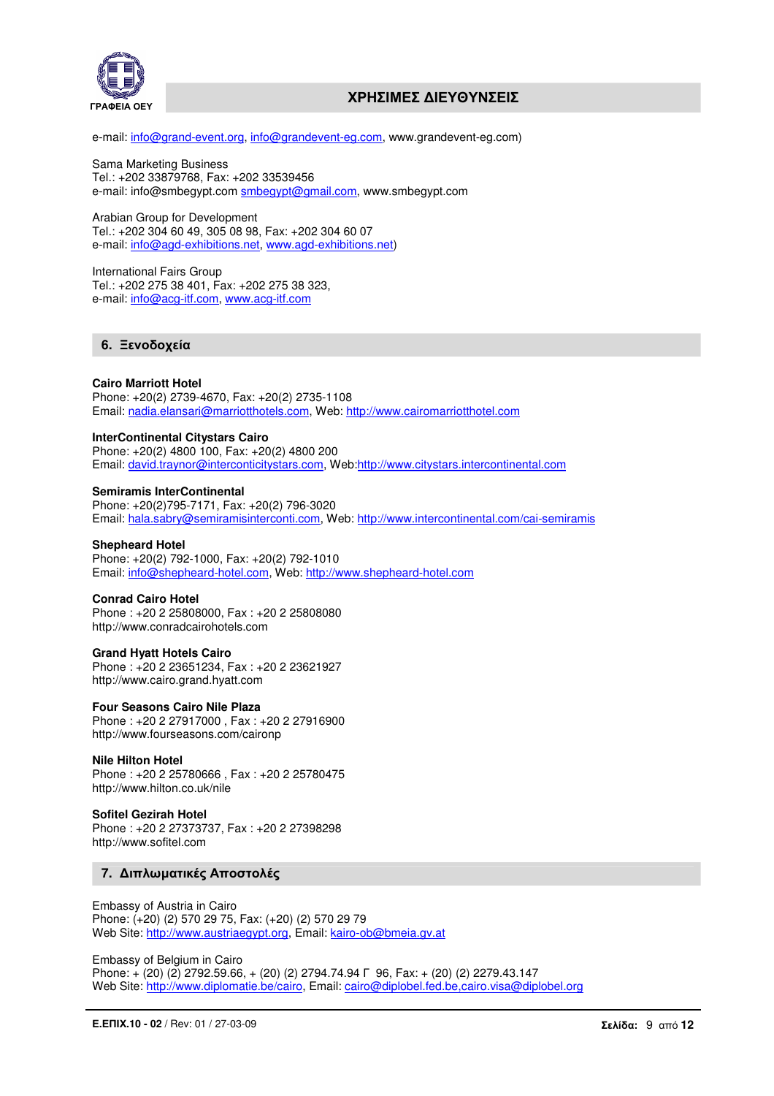

e-mail: info@grand-event.org, info@grandevent-eg.com, www.grandevent-eg.com)

Sama Marketing Business Tel.: +202 33879768, Fax: +202 33539456 e-mail: info@smbegypt.com smbegypt@gmail.com, www.smbegypt.com

Arabian Group for Development Tel.: +202 304 60 49, 305 08 98, Fax: +202 304 60 07 e-mail: info@agd-exhibitions.net, www.agd-exhibitions.net)

International Fairs Group Tel.: +202 275 38 401, Fax: +202 275 38 323, e-mail: info@acg-itf.com, www.acg-itf.com

# **6.** Ξενοδοχεία

## **Cairo Marriott Hotel**

Phone: +20(2) 2739-4670, Fax: +20(2) 2735-1108 Email: nadia.elansari@marriotthotels.com, Web: http://www.cairomarriotthotel.com

## **InterContinental Citystars Cairo**

Phone: +20(2) 4800 100, Fax: +20(2) 4800 200 Email: david.traynor@interconticitystars.com, Web:http://www.citystars.intercontinental.com

#### **Semiramis InterContinental**

Phone: +20(2)795-7171, Fax: +20(2) 796-3020 Email: hala.sabry@semiramisinterconti.com, Web: http://www.intercontinental.com/cai-semiramis

#### **Shepheard Hotel**

Phone: +20(2) 792-1000, Fax: +20(2) 792-1010 Email: info@shepheard-hotel.com, Web: http://www.shepheard-hotel.com

#### **Conrad Cairo Hotel**

Phone : +20 2 25808000, Fax : +20 2 25808080 http://www.conradcairohotels.com

#### **Grand Hyatt Hotels Cairo**

Phone : +20 2 23651234, Fax : +20 2 23621927 http://www.cairo.grand.hyatt.com

#### **Four Seasons Cairo Nile Plaza**

Phone : +20 2 27917000 , Fax : +20 2 27916900 http://www.fourseasons.com/caironp

## **Nile Hilton Hotel**

Phone : +20 2 25780666 , Fax : +20 2 25780475 http://www.hilton.co.uk/nile

#### **Sofitel Gezirah Hotel**

Phone : +20 2 27373737, Fax : +20 2 27398298 http://www.sofitel.com

## **7.** ∆ιπλωµατικές Αποστολές

Embassy of Austria in Cairo Phone: (+20) (2) 570 29 75, Fax: (+20) (2) 570 29 79 Web Site: http://www.austriaegypt.org, Email: kairo-ob@bmeia.gv.at

Embassy of Belgium in Cairo Phone: + (20) (2) 2792.59.66, + (20) (2) 2794.74.94 Γ 96, Fax: + (20) (2) 2279.43.147 Web Site: http://www.diplomatie.be/cairo, Email: cairo@diplobel.fed.be,cairo.visa@diplobel.org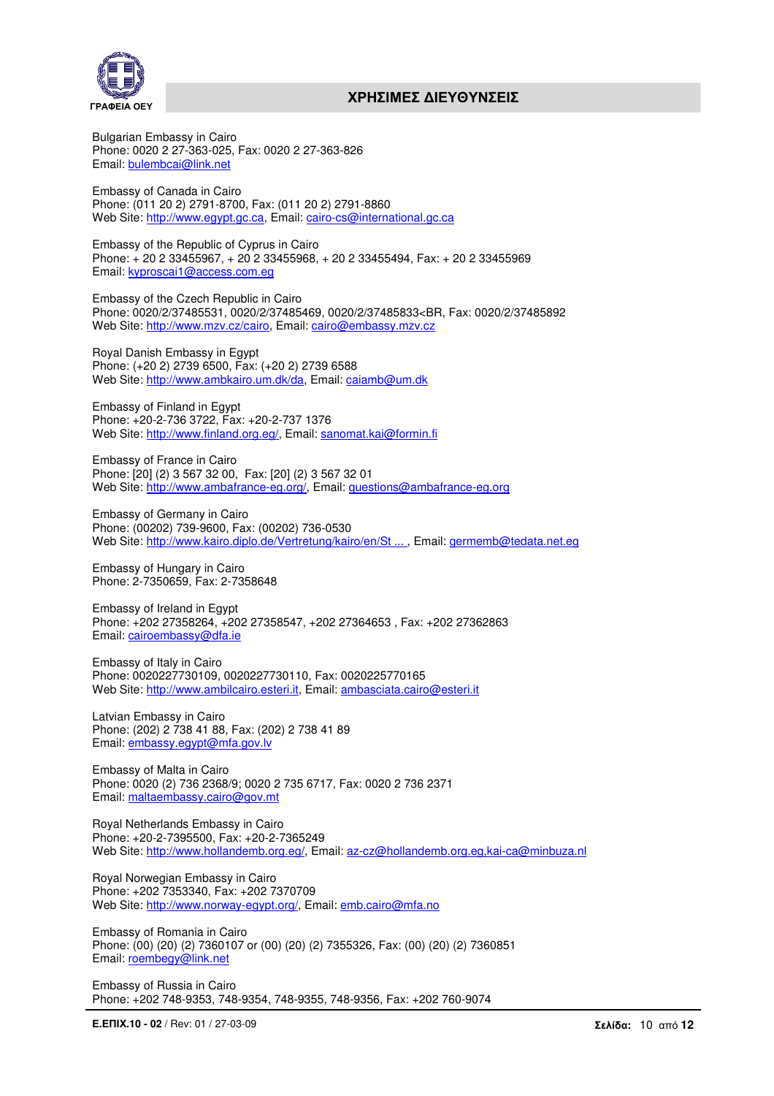

Bulgarian Embassy in Cairo Phone: 0020 2 27-363-025, Fax: 0020 2 27-363-826 Email: bulembcai@link.net

Embassy of Canada in Cairo Phone: (011 20 2) 2791-8700, Fax: (011 20 2) 2791-8860 Web Site: http://www.egypt.gc.ca, Email: cairo-cs@international.gc.ca

Embassy of the Republic of Cyprus in Cairo Phone: + 20 2 33455967, + 20 2 33455968, + 20 2 33455494, Fax: + 20 2 33455969 Email: kyproscai1@access.com.eg

Embassy of the Czech Republic in Cairo Phone: 0020/2/37485531, 0020/2/37485469, 0020/2/37485833<BR, Fax: 0020/2/37485892 Web Site: http://www.mzv.cz/cairo, Email: cairo@embassy.mzv.cz

Royal Danish Embassy in Egypt Phone: (+20 2) 2739 6500, Fax: (+20 2) 2739 6588 Web Site: http://www.ambkairo.um.dk/da, Email: caiamb@um.dk

Embassy of Finland in Egypt Phone: +20-2-736 3722, Fax: +20-2-737 1376 Web Site: http://www.finland.org.eg/, Email: sanomat.kai@formin.fi

Embassy of France in Cairo Phone: [20] (2) 3 567 32 00, Fax: [20] (2) 3 567 32 01 Web Site: http://www.ambafrance-eg.org/, Email: questions@ambafrance-eg.org

Embassy of Germany in Cairo Phone: (00202) 739-9600, Fax: (00202) 736-0530 Web Site: http://www.kairo.diplo.de/Vertretung/kairo/en/St ... , Email: germemb@tedata.net.eg

Embassy of Hungary in Cairo Phone: 2-7350659, Fax: 2-7358648

Embassy of Ireland in Egypt Phone: +202 27358264, +202 27358547, +202 27364653 , Fax: +202 27362863 Email: cairoembassy@dfa.ie

Embassy of Italy in Cairo Phone: 0020227730109, 0020227730110, Fax: 0020225770165 Web Site: http://www.ambilcairo.esteri.it, Email: ambasciata.cairo@esteri.it

Latvian Embassy in Cairo Phone: (202) 2 738 41 88, Fax: (202) 2 738 41 89 Email: embassy.egypt@mfa.gov.lv

Embassy of Malta in Cairo Phone: 0020 (2) 736 2368/9; 0020 2 735 6717, Fax: 0020 2 736 2371 Email: maltaembassy.cairo@gov.mt

Royal Netherlands Embassy in Cairo Phone: +20-2-7395500, Fax: +20-2-7365249 Web Site: http://www.hollandemb.org.eg/, Email: az-cz@hollandemb.org.eg,kai-ca@minbuza.nl

Royal Norwegian Embassy in Cairo Phone: +202 7353340, Fax: +202 7370709 Web Site: http://www.norway-egypt.org/, Email: emb.cairo@mfa.no

Embassy of Romania in Cairo Phone: (00) (20) (2) 7360107 or (00) (20) (2) 7355326, Fax: (00) (20) (2) 7360851 Email: roembegy@link.net

Embassy of Russia in Cairo Phone: +202 748-9353, 748-9354, 748-9355, 748-9356, Fax: +202 760-9074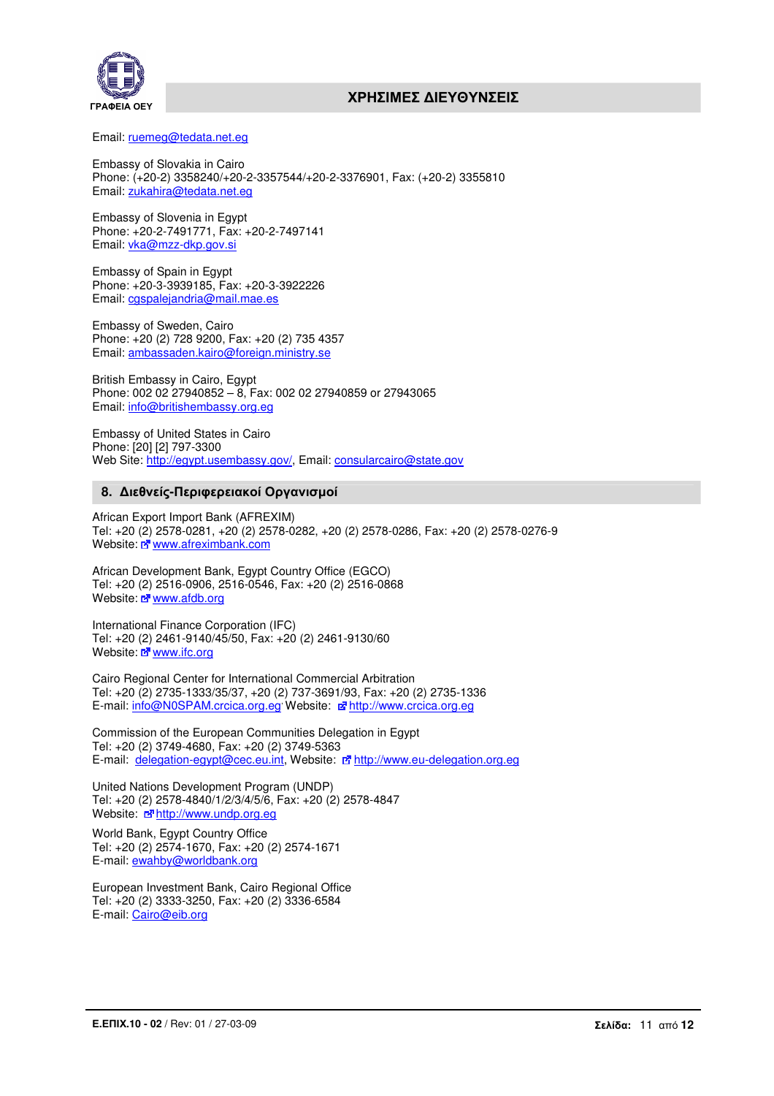

Email: ruemeg@tedata.net.eg

Embassy of Slovakia in Cairo Phone: (+20-2) 3358240/+20-2-3357544/+20-2-3376901, Fax: (+20-2) 3355810 Email: zukahira@tedata.net.eg

Embassy of Slovenia in Egypt Phone: +20-2-7491771, Fax: +20-2-7497141 Email: vka@mzz-dkp.gov.si

Embassy of Spain in Egypt Phone: +20-3-3939185, Fax: +20-3-3922226 Email: cgspalejandria@mail.mae.es

Embassy of Sweden, Cairo Phone: +20 (2) 728 9200, Fax: +20 (2) 735 4357 Email: ambassaden.kairo@foreign.ministry.se

British Embassy in Cairo, Egypt Phone: 002 02 27940852 – 8, Fax: 002 02 27940859 or 27943065 Email: info@britishembassy.org.eg

Embassy of United States in Cairo Phone: [20] [2] 797-3300 Web Site: http://egypt.usembassy.gov/, Email: consularcairo@state.gov

## **8.** ∆ιεθνείς**-**Περιφερειακοί Οργανισµοί

African Export Import Bank (AFREXIM) Tel: +20 (2) 2578-0281, +20 (2) 2578-0282, +20 (2) 2578-0286, Fax: +20 (2) 2578-0276-9 Website: E www.afreximbank.com

African Development Bank, Egypt Country Office (EGCO) Tel: +20 (2) 2516-0906, 2516-0546, Fax: +20 (2) 2516-0868 Website: a www.afdb.org

International Finance Corporation (IFC) Tel: +20 (2) 2461-9140/45/50, Fax: +20 (2) 2461-9130/60 Website: E<sup>www.ifc.org</sup>

Cairo Regional Center for International Commercial Arbitration Tel: +20 (2) 2735-1333/35/37, +20 (2) 737-3691/93, Fax: +20 (2) 2735-1336 E-mail: info@N0SPAM.crcica.org.eg Website:  $\mathbb{E}$  http://www.crcica.org.eg

Commission of the European Communities Delegation in Egypt Tel: +20 (2) 3749-4680, Fax: +20 (2) 3749-5363 E-mail: delegation-egypt@cec.eu.int, Website: E http://www.eu-delegation.org.eg

United Nations Development Program (UNDP) Tel: +20 (2) 2578-4840/1/2/3/4/5/6, Fax: +20 (2) 2578-4847 Website: a http://www.undp.org.eg

World Bank, Egypt Country Office Tel: +20 (2) 2574-1670, Fax: +20 (2) 2574-1671 E-mail: ewahby@worldbank.org

European Investment Bank, Cairo Regional Office Tel: +20 (2) 3333-3250, Fax: +20 (2) 3336-6584 E-mail: Cairo@eib.org